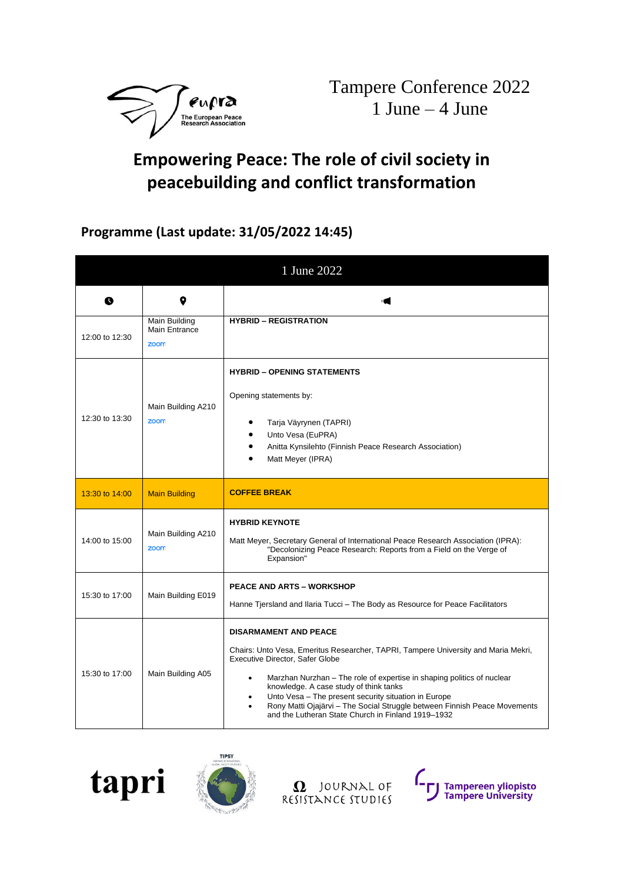

## **Empowering Peace: The role of civil society in peacebuilding and conflict transformation**

## **Programme (Last update: 31/05/2022 14:45)**

|                |                                               | 1 June 2022                                                                                                                                                                                                                                                                                                                                                                                                                                                                            |
|----------------|-----------------------------------------------|----------------------------------------------------------------------------------------------------------------------------------------------------------------------------------------------------------------------------------------------------------------------------------------------------------------------------------------------------------------------------------------------------------------------------------------------------------------------------------------|
| Q              | 9                                             |                                                                                                                                                                                                                                                                                                                                                                                                                                                                                        |
| 12:00 to 12:30 | <b>Main Building</b><br>Main Entrance<br>zoom | <b>HYBRID - REGISTRATION</b>                                                                                                                                                                                                                                                                                                                                                                                                                                                           |
| 12:30 to 13:30 | Main Building A210<br>zoom                    | <b>HYBRID - OPENING STATEMENTS</b><br>Opening statements by:<br>Tarja Väyrynen (TAPRI)<br>Unto Vesa (EuPRA)<br>Anitta Kynsilehto (Finnish Peace Research Association)<br>Matt Meyer (IPRA)                                                                                                                                                                                                                                                                                             |
| 13:30 to 14:00 | <b>Main Building</b>                          | <b>COFFEE BREAK</b>                                                                                                                                                                                                                                                                                                                                                                                                                                                                    |
| 14:00 to 15:00 | Main Building A210<br>zoom                    | <b>HYBRID KEYNOTE</b><br>Matt Meyer, Secretary General of International Peace Research Association (IPRA):<br>"Decolonizing Peace Research: Reports from a Field on the Verge of<br>Expansion"                                                                                                                                                                                                                                                                                         |
| 15:30 to 17:00 | Main Building E019                            | <b>PEACE AND ARTS - WORKSHOP</b><br>Hanne Tjersland and Ilaria Tucci – The Body as Resource for Peace Facilitators                                                                                                                                                                                                                                                                                                                                                                     |
| 15:30 to 17:00 | Main Building A05                             | <b>DISARMAMENT AND PEACE</b><br>Chairs: Unto Vesa, Emeritus Researcher, TAPRI, Tampere University and Maria Mekri,<br>Executive Director, Safer Globe<br>Marzhan Nurzhan - The role of expertise in shaping politics of nuclear<br>$\bullet$<br>knowledge. A case study of think tanks<br>Unto Vesa - The present security situation in Europe<br>٠<br>Rony Matti Ojajärvi - The Social Struggle between Finnish Peace Movements<br>and the Lutheran State Church in Finland 1919-1932 |





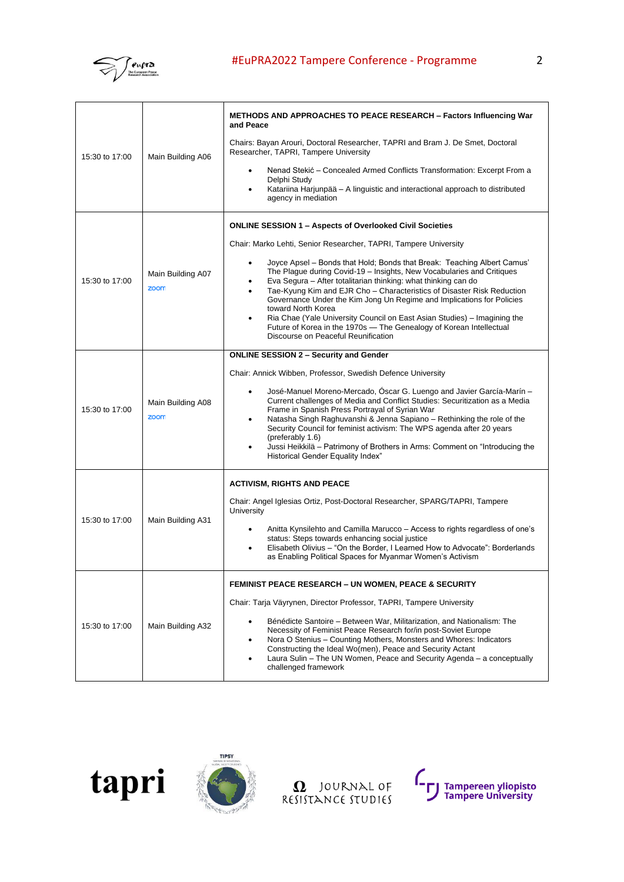

| 15:30 to 17:00 | Main Building A06         | METHODS AND APPROACHES TO PEACE RESEARCH – Factors Influencing War<br>and Peace<br>Chairs: Bayan Arouri, Doctoral Researcher, TAPRI and Bram J. De Smet, Doctoral                                                                                                                                                                                                                                                                                                                                                                                                                                                                                              |
|----------------|---------------------------|----------------------------------------------------------------------------------------------------------------------------------------------------------------------------------------------------------------------------------------------------------------------------------------------------------------------------------------------------------------------------------------------------------------------------------------------------------------------------------------------------------------------------------------------------------------------------------------------------------------------------------------------------------------|
|                |                           | Researcher, TAPRI, Tampere University<br>Nenad Stekić - Concealed Armed Conflicts Transformation: Excerpt From a<br>Delphi Study<br>Katariina Harjunpää - A linguistic and interactional approach to distributed<br>agency in mediation                                                                                                                                                                                                                                                                                                                                                                                                                        |
|                |                           | <b>ONLINE SESSION 1 – Aspects of Overlooked Civil Societies</b>                                                                                                                                                                                                                                                                                                                                                                                                                                                                                                                                                                                                |
| 15:30 to 17:00 | Main Building A07<br>zoom | Chair: Marko Lehti, Senior Researcher, TAPRI, Tampere University<br>Joyce Apsel – Bonds that Hold; Bonds that Break: Teaching Albert Camus'<br>The Plague during Covid-19 - Insights, New Vocabularies and Critiques<br>Eva Segura - After totalitarian thinking: what thinking can do<br>Tae-Kyung Kim and EJR Cho - Characteristics of Disaster Risk Reduction<br>Governance Under the Kim Jong Un Regime and Implications for Policies<br>toward North Korea<br>Ria Chae (Yale University Council on East Asian Studies) - Imagining the<br>٠<br>Future of Korea in the 1970s - The Genealogy of Korean Intellectual<br>Discourse on Peaceful Reunification |
|                |                           | <b>ONLINE SESSION 2 - Security and Gender</b>                                                                                                                                                                                                                                                                                                                                                                                                                                                                                                                                                                                                                  |
| 15:30 to 17:00 | Main Building A08<br>zoom | Chair: Annick Wibben, Professor, Swedish Defence University<br>José-Manuel Moreno-Mercado, Oscar G. Luengo and Javier García-Marín -<br>٠<br>Current challenges of Media and Conflict Studies: Securitization as a Media<br>Frame in Spanish Press Portrayal of Syrian War<br>Natasha Singh Raghuvanshi & Jenna Sapiano - Rethinking the role of the<br>٠<br>Security Council for feminist activism: The WPS agenda after 20 years<br>(preferably 1.6)<br>Jussi Heikkilä - Patrimony of Brothers in Arms: Comment on "Introducing the<br><b>Historical Gender Equality Index"</b>                                                                              |
| 15:30 to 17:00 | Main Building A31         | <b>ACTIVISM, RIGHTS AND PEACE</b><br>Chair: Angel Iglesias Ortiz, Post-Doctoral Researcher, SPARG/TAPRI, Tampere<br>University<br>Anitta Kynsilehto and Camilla Marucco - Access to rights regardless of one's<br>status: Steps towards enhancing social justice<br>Elisabeth Olivius - "On the Border, I Learned How to Advocate": Borderlands<br>as Enabling Political Spaces for Myanmar Women's Activism                                                                                                                                                                                                                                                   |
| 15:30 to 17:00 | Main Building A32         | <b>FEMINIST PEACE RESEARCH - UN WOMEN, PEACE &amp; SECURITY</b><br>Chair: Tarja Väyrynen, Director Professor, TAPRI, Tampere University<br>Bénédicte Santoire – Between War, Militarization, and Nationalism: The<br>Necessity of Feminist Peace Research for/in post-Soviet Europe<br>Nora O Stenius - Counting Mothers, Monsters and Whores: Indicators<br>٠<br>Constructing the Ideal Wo(men), Peace and Security Actant<br>Laura Sulin - The UN Women, Peace and Security Agenda - a conceptually<br>challenged framework                                                                                                                                  |





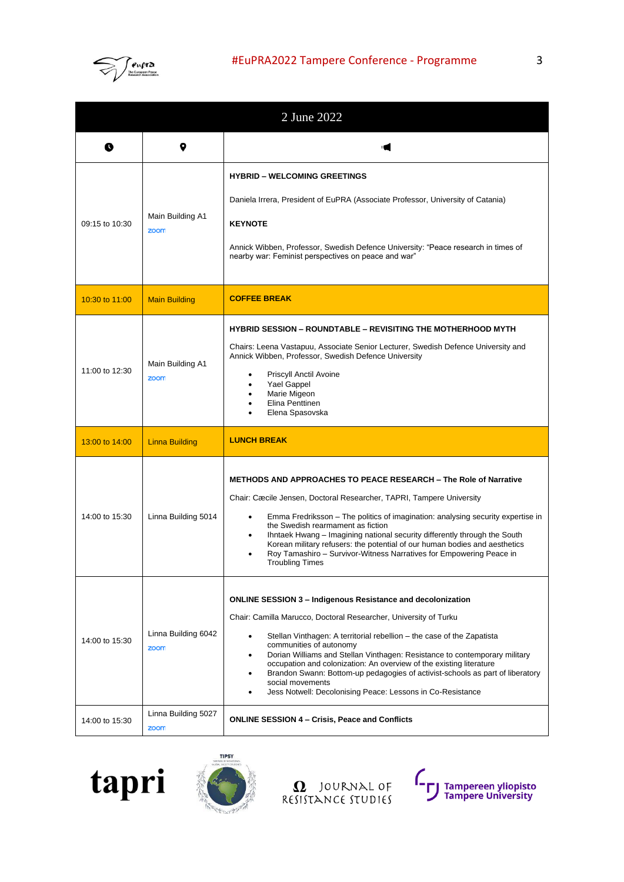

| 2 June 2022    |                             |                                                                                                                                                                                                                                                                                                                                                                                                                                                                                                                                                                     |
|----------------|-----------------------------|---------------------------------------------------------------------------------------------------------------------------------------------------------------------------------------------------------------------------------------------------------------------------------------------------------------------------------------------------------------------------------------------------------------------------------------------------------------------------------------------------------------------------------------------------------------------|
| O              | 9                           |                                                                                                                                                                                                                                                                                                                                                                                                                                                                                                                                                                     |
| 09:15 to 10:30 | Main Building A1<br>zoom    | <b>HYBRID - WELCOMING GREETINGS</b><br>Daniela Irrera, President of EuPRA (Associate Professor, University of Catania)<br><b>KEYNOTE</b><br>Annick Wibben, Professor, Swedish Defence University: "Peace research in times of<br>nearby war: Feminist perspectives on peace and war"                                                                                                                                                                                                                                                                                |
| 10:30 to 11:00 | <b>Main Building</b>        | <b>COFFEE BREAK</b>                                                                                                                                                                                                                                                                                                                                                                                                                                                                                                                                                 |
| 11:00 to 12:30 | Main Building A1<br>zoom    | <b>HYBRID SESSION – ROUNDTABLE – REVISITING THE MOTHERHOOD MYTH</b><br>Chairs: Leena Vastapuu, Associate Senior Lecturer, Swedish Defence University and<br>Annick Wibben, Professor, Swedish Defence University<br>Priscyll Anctil Avoine<br>Yael Gappel<br>Marie Migeon<br>Elina Penttinen<br>Elena Spasovska                                                                                                                                                                                                                                                     |
| 13:00 to 14:00 | <b>Linna Building</b>       | <b>LUNCH BREAK</b>                                                                                                                                                                                                                                                                                                                                                                                                                                                                                                                                                  |
| 14:00 to 15:30 | Linna Building 5014         | <b>METHODS AND APPROACHES TO PEACE RESEARCH - The Role of Narrative</b><br>Chair: Cæcile Jensen, Doctoral Researcher, TAPRI, Tampere University<br>Emma Fredriksson - The politics of imagination: analysing security expertise in<br>٠<br>the Swedish rearmament as fiction<br>Ihntaek Hwang - Imagining national security differently through the South<br>Korean military refusers: the potential of our human bodies and aesthetics<br>Roy Tamashiro – Survivor-Witness Narratives for Empowering Peace in<br><b>Troubling Times</b>                            |
| 14:00 to 15:30 | Linna Building 6042<br>zoom | <b>ONLINE SESSION 3 - Indigenous Resistance and decolonization</b><br>Chair: Camilla Marucco, Doctoral Researcher, University of Turku<br>Stellan Vinthagen: A territorial rebellion – the case of the Zapatista<br>communities of autonomy<br>Dorian Williams and Stellan Vinthagen: Resistance to contemporary military<br>occupation and colonization: An overview of the existing literature<br>Brandon Swann: Bottom-up pedagogies of activist-schools as part of liberatory<br>social movements<br>Jess Notwell: Decolonising Peace: Lessons in Co-Resistance |
| 14:00 to 15:30 | Linna Building 5027<br>zoom | <b>ONLINE SESSION 4 - Crisis, Peace and Conflicts</b>                                                                                                                                                                                                                                                                                                                                                                                                                                                                                                               |





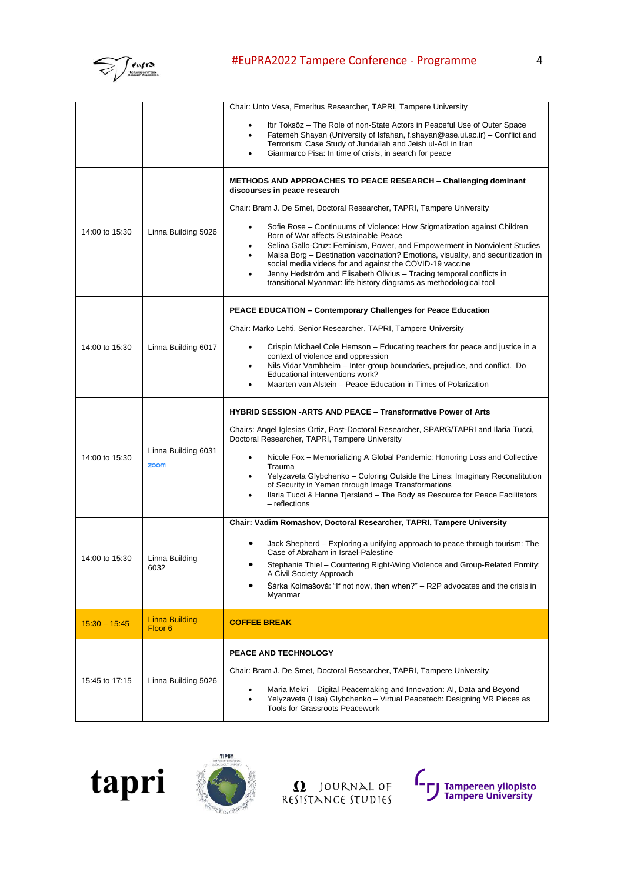

## #EuPRA2022 Tampere Conference - Programme 4

|                 |                                      | Chair: Unto Vesa, Emeritus Researcher, TAPRI, Tampere University                                                                                                                                                                                                                                                                                                                                                                                                                                                                                                                                                                                                                                           |
|-----------------|--------------------------------------|------------------------------------------------------------------------------------------------------------------------------------------------------------------------------------------------------------------------------------------------------------------------------------------------------------------------------------------------------------------------------------------------------------------------------------------------------------------------------------------------------------------------------------------------------------------------------------------------------------------------------------------------------------------------------------------------------------|
|                 |                                      | Itir Toksöz – The Role of non-State Actors in Peaceful Use of Outer Space<br>Fatemeh Shayan (University of Isfahan, f.shayan@ase.ui.ac.ir) - Conflict and<br>$\bullet$<br>Terrorism: Case Study of Jundallah and Jeish ul-Adl in Iran<br>Gianmarco Pisa: In time of crisis, in search for peace                                                                                                                                                                                                                                                                                                                                                                                                            |
| 14:00 to 15:30  | Linna Building 5026                  | <b>METHODS AND APPROACHES TO PEACE RESEARCH - Challenging dominant</b><br>discourses in peace research<br>Chair: Bram J. De Smet, Doctoral Researcher, TAPRI, Tampere University<br>Sofie Rose - Continuums of Violence: How Stigmatization against Children<br>Born of War affects Sustainable Peace<br>Selina Gallo-Cruz: Feminism, Power, and Empowerment in Nonviolent Studies<br>Maisa Borg - Destination vaccination? Emotions, visuality, and securitization in<br>$\bullet$<br>social media videos for and against the COVID-19 vaccine<br>Jenny Hedström and Elisabeth Olivius - Tracing temporal conflicts in<br>$\bullet$<br>transitional Myanmar: life history diagrams as methodological tool |
| 14:00 to 15:30  | Linna Building 6017                  | PEACE EDUCATION - Contemporary Challenges for Peace Education<br>Chair: Marko Lehti, Senior Researcher, TAPRI, Tampere University<br>Crispin Michael Cole Hemson – Educating teachers for peace and justice in a<br>context of violence and oppression<br>Nils Vidar Vambheim - Inter-group boundaries, prejudice, and conflict. Do<br>٠<br>Educational interventions work?<br>Maarten van Alstein - Peace Education in Times of Polarization                                                                                                                                                                                                                                                              |
| 14:00 to 15:30  | Linna Building 6031<br>zoom          | <b>HYBRID SESSION -ARTS AND PEACE - Transformative Power of Arts</b><br>Chairs: Angel Iglesias Ortiz, Post-Doctoral Researcher, SPARG/TAPRI and Ilaria Tucci,<br>Doctoral Researcher, TAPRI, Tampere University<br>Nicole Fox – Memorializing A Global Pandemic: Honoring Loss and Collective<br>٠<br>Trauma<br>Yelyzaveta Glybchenko - Coloring Outside the Lines: Imaginary Reconstitution<br>of Security in Yemen through Image Transformations<br>Ilaria Tucci & Hanne Tjersland - The Body as Resource for Peace Facilitators<br>- reflections                                                                                                                                                        |
| 14:00 to 15:30  | Linna Building<br>6032               | Chair: Vadim Romashov, Doctoral Researcher, TAPRI, Tampere University<br>Jack Shepherd – Exploring a unifying approach to peace through tourism: The<br>Case of Abraham in Israel-Palestine<br>Stephanie Thiel - Countering Right-Wing Violence and Group-Related Enmity:<br>A Civil Society Approach<br>Šárka Kolmašová: "If not now, then when?" - R2P advocates and the crisis in<br>Myanmar                                                                                                                                                                                                                                                                                                            |
| $15:30 - 15:45$ | Linna Building<br>Floor <sub>6</sub> | <b>COFFEE BREAK</b>                                                                                                                                                                                                                                                                                                                                                                                                                                                                                                                                                                                                                                                                                        |
| 15:45 to 17:15  | Linna Building 5026                  | <b>PEACE AND TECHNOLOGY</b><br>Chair: Bram J. De Smet, Doctoral Researcher, TAPRI, Tampere University<br>Maria Mekri - Digital Peacemaking and Innovation: AI, Data and Beyond<br>Yelyzaveta (Lisa) Glybchenko - Virtual Peacetech: Designing VR Pieces as<br><b>Tools for Grassroots Peacework</b>                                                                                                                                                                                                                                                                                                                                                                                                        |





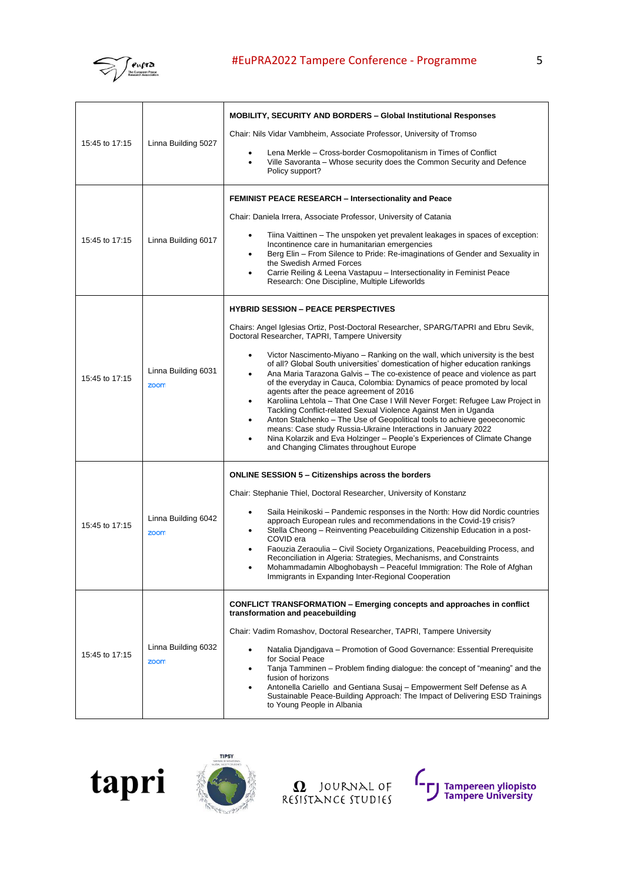

| 15:45 to 17:15 | Linna Building 5027         | MOBILITY, SECURITY AND BORDERS - Global Institutional Responses<br>Chair: Nils Vidar Vambheim, Associate Professor, University of Tromso<br>Lena Merkle - Cross-border Cosmopolitanism in Times of Conflict<br>Ville Savoranta – Whose security does the Common Security and Defence<br>Policy support?                                                                                                                                                                                                                                                                                                                                                                                                                                                                                                                                                                                                                                                                                       |
|----------------|-----------------------------|-----------------------------------------------------------------------------------------------------------------------------------------------------------------------------------------------------------------------------------------------------------------------------------------------------------------------------------------------------------------------------------------------------------------------------------------------------------------------------------------------------------------------------------------------------------------------------------------------------------------------------------------------------------------------------------------------------------------------------------------------------------------------------------------------------------------------------------------------------------------------------------------------------------------------------------------------------------------------------------------------|
| 15:45 to 17:15 | Linna Building 6017         | <b>FEMINIST PEACE RESEARCH – Intersectionality and Peace</b><br>Chair: Daniela Irrera, Associate Professor, University of Catania<br>Tiina Vaittinen – The unspoken yet prevalent leakages in spaces of exception:<br>Incontinence care in humanitarian emergencies<br>Berg Elin – From Silence to Pride: Re-imaginations of Gender and Sexuality in<br>$\bullet$<br>the Swedish Armed Forces<br>Carrie Reiling & Leena Vastapuu - Intersectionality in Feminist Peace<br>Research: One Discipline, Multiple Lifeworlds                                                                                                                                                                                                                                                                                                                                                                                                                                                                       |
| 15:45 to 17:15 | Linna Building 6031<br>zoom | <b>HYBRID SESSION - PEACE PERSPECTIVES</b><br>Chairs: Angel Iglesias Ortiz, Post-Doctoral Researcher, SPARG/TAPRI and Ebru Sevik,<br>Doctoral Researcher, TAPRI, Tampere University<br>Victor Nascimento-Miyano – Ranking on the wall, which university is the best<br>$\bullet$<br>of all? Global South universities' domestication of higher education rankings<br>Ana Maria Tarazona Galvis – The co-existence of peace and violence as part<br>of the everyday in Cauca, Colombia: Dynamics of peace promoted by local<br>agents after the peace agreement of 2016<br>Karoliina Lehtola - That One Case I Will Never Forget: Refugee Law Project in<br>Tackling Conflict-related Sexual Violence Against Men in Uganda<br>Anton Stalchenko - The Use of Geopolitical tools to achieve geoeconomic<br>means: Case study Russia-Ukraine Interactions in January 2022<br>Nina Kolarzik and Eva Holzinger – People's Experiences of Climate Change<br>and Changing Climates throughout Europe |
| 15:45 to 17:15 | Linna Building 6042<br>zoom | <b>ONLINE SESSION 5 – Citizenships across the borders</b><br>Chair: Stephanie Thiel, Doctoral Researcher, University of Konstanz<br>Saila Heinikoski – Pandemic responses in the North: How did Nordic countries<br>approach European rules and recommendations in the Covid-19 crisis?<br>Stella Cheong – Reinventing Peacebuilding Citizenship Education in a post-<br>COVID era<br>Faouzia Zeraoulia - Civil Society Organizations, Peacebuilding Process, and<br>Reconciliation in Algeria: Strategies, Mechanisms, and Constraints<br>Mohammadamin Alboghobaysh - Peaceful Immigration: The Role of Afghan<br>Immigrants in Expanding Inter-Regional Cooperation                                                                                                                                                                                                                                                                                                                         |
| 15:45 to 17:15 | Linna Building 6032<br>zoom | <b>CONFLICT TRANSFORMATION – Emerging concepts and approaches in conflict</b><br>transformation and peacebuilding<br>Chair: Vadim Romashov, Doctoral Researcher, TAPRI, Tampere University<br>Natalia Djandjgava – Promotion of Good Governance: Essential Prerequisite<br>for Social Peace<br>Tanja Tamminen – Problem finding dialogue: the concept of "meaning" and the<br>$\bullet$<br>fusion of horizons<br>Antonella Cariello and Gentiana Susaj - Empowerment Self Defense as A<br>Sustainable Peace-Building Approach: The Impact of Delivering ESD Trainings<br>to Young People in Albania                                                                                                                                                                                                                                                                                                                                                                                           |





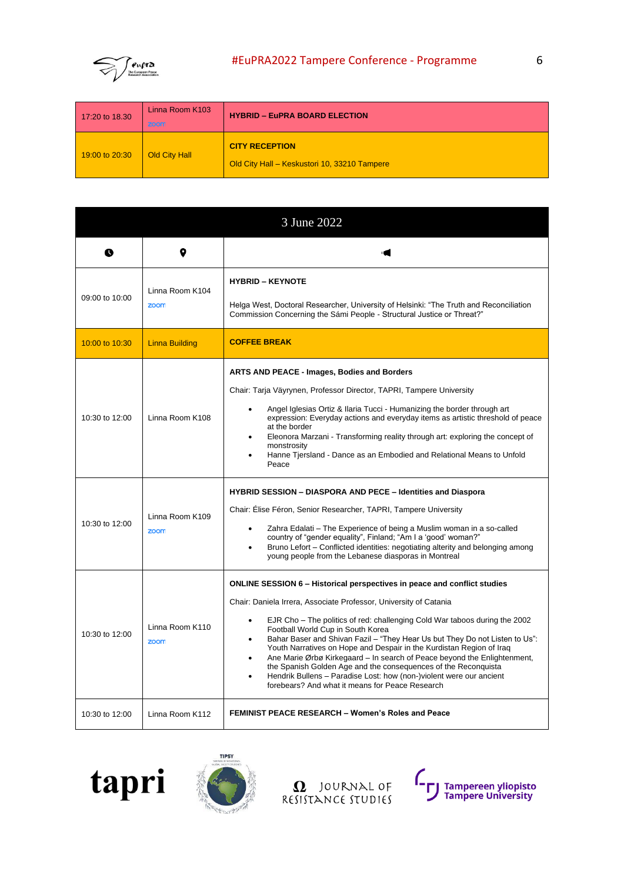

| 17:20 to 18.30 | Linna Room K103<br>zoom | <b>HYBRID - EuPRA BOARD ELECTION</b>                                  |
|----------------|-------------------------|-----------------------------------------------------------------------|
| 19:00 to 20:30 | Old City Hall           | <b>CITY RECEPTION</b><br>Old City Hall - Keskustori 10, 33210 Tampere |

|                |                         | 3 June 2022                                                                                                                                                                                                                                                                                                                                                                                                                                                                                                                                                                                                                                                                                                         |
|----------------|-------------------------|---------------------------------------------------------------------------------------------------------------------------------------------------------------------------------------------------------------------------------------------------------------------------------------------------------------------------------------------------------------------------------------------------------------------------------------------------------------------------------------------------------------------------------------------------------------------------------------------------------------------------------------------------------------------------------------------------------------------|
| Q              |                         |                                                                                                                                                                                                                                                                                                                                                                                                                                                                                                                                                                                                                                                                                                                     |
| 09:00 to 10:00 | Linna Room K104<br>zoom | <b>HYBRID - KEYNOTE</b><br>Helga West, Doctoral Researcher, University of Helsinki: "The Truth and Reconciliation<br>Commission Concerning the Sámi People - Structural Justice or Threat?"                                                                                                                                                                                                                                                                                                                                                                                                                                                                                                                         |
| 10:00 to 10:30 | <b>Linna Building</b>   | <b>COFFEE BREAK</b>                                                                                                                                                                                                                                                                                                                                                                                                                                                                                                                                                                                                                                                                                                 |
| 10:30 to 12:00 | Linna Room K108         | ARTS AND PEACE - Images, Bodies and Borders<br>Chair: Tarja Väyrynen, Professor Director, TAPRI, Tampere University<br>Angel Iglesias Ortiz & Ilaria Tucci - Humanizing the border through art<br>$\bullet$<br>expression: Everyday actions and everyday items as artistic threshold of peace<br>at the border<br>Eleonora Marzani - Transforming reality through art: exploring the concept of<br>monstrosity<br>Hanne Tjersland - Dance as an Embodied and Relational Means to Unfold<br>Peace                                                                                                                                                                                                                    |
| 10:30 to 12:00 | Linna Room K109<br>zoom | <b>HYBRID SESSION - DIASPORA AND PECE - Identities and Diaspora</b><br>Chair: Élise Féron, Senior Researcher, TAPRI, Tampere University<br>Zahra Edalati – The Experience of being a Muslim woman in a so-called<br>country of "gender equality", Finland; "Am I a 'good' woman?"<br>Bruno Lefort – Conflicted identities: negotiating alterity and belonging among<br>young people from the Lebanese diasporas in Montreal                                                                                                                                                                                                                                                                                         |
| 10:30 to 12:00 | Linna Room K110<br>zoom | <b>ONLINE SESSION 6 - Historical perspectives in peace and conflict studies</b><br>Chair: Daniela Irrera, Associate Professor, University of Catania<br>EJR Cho - The politics of red: challenging Cold War taboos during the 2002<br>$\bullet$<br>Football World Cup in South Korea<br>Bahar Baser and Shivan Fazil - "They Hear Us but They Do not Listen to Us":<br>Youth Narratives on Hope and Despair in the Kurdistan Region of Iraq<br>Ane Marie Ørbø Kirkegaard – In search of Peace beyond the Enlightenment,<br>the Spanish Golden Age and the consequences of the Reconquista<br>Hendrik Bullens - Paradise Lost: how (non-)violent were our ancient<br>forebears? And what it means for Peace Research |
| 10:30 to 12:00 | Linna Room K112         | <b>FEMINIST PEACE RESEARCH - Women's Roles and Peace</b>                                                                                                                                                                                                                                                                                                                                                                                                                                                                                                                                                                                                                                                            |





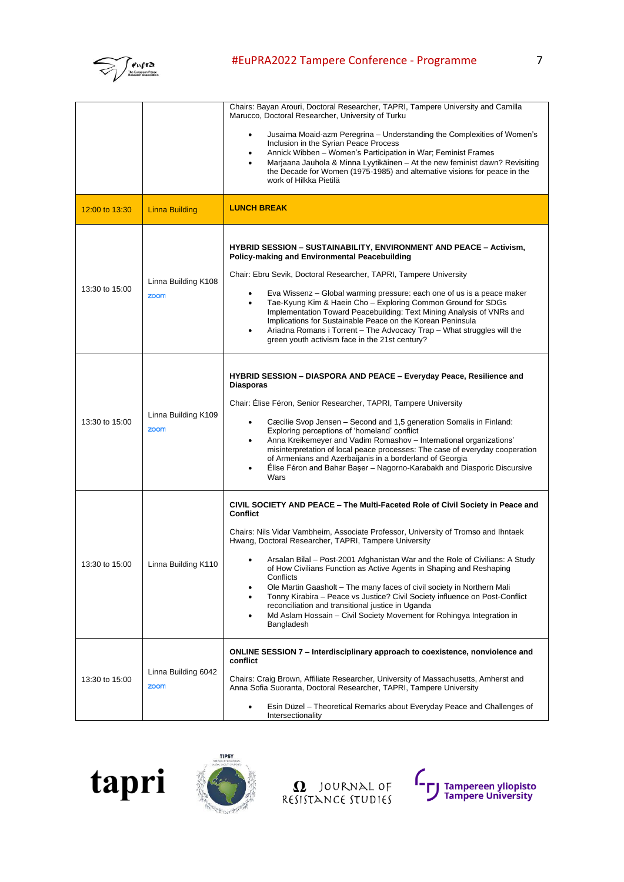

|                |                             | Chairs: Bayan Arouri, Doctoral Researcher, TAPRI, Tampere University and Camilla<br>Marucco, Doctoral Researcher, University of Turku<br>Jusaima Moaid-azm Peregrina – Understanding the Complexities of Women's<br>Inclusion in the Syrian Peace Process<br>Annick Wibben – Women's Participation in War; Feminist Frames<br>Marjaana Jauhola & Minna Lyytikäinen - At the new feminist dawn? Revisiting<br>the Decade for Women (1975-1985) and alternative visions for peace in the<br>work of Hilkka Pietilä                                                                                                                                                                                                               |
|----------------|-----------------------------|--------------------------------------------------------------------------------------------------------------------------------------------------------------------------------------------------------------------------------------------------------------------------------------------------------------------------------------------------------------------------------------------------------------------------------------------------------------------------------------------------------------------------------------------------------------------------------------------------------------------------------------------------------------------------------------------------------------------------------|
| 12:00 to 13:30 | <b>Linna Building</b>       | <b>LUNCH BREAK</b>                                                                                                                                                                                                                                                                                                                                                                                                                                                                                                                                                                                                                                                                                                             |
| 13:30 to 15:00 | Linna Building K108<br>zoom | <b>HYBRID SESSION – SUSTAINABILITY, ENVIRONMENT AND PEACE – Activism,</b><br><b>Policy-making and Environmental Peacebuilding</b><br>Chair: Ebru Sevik, Doctoral Researcher, TAPRI, Tampere University<br>Eva Wissenz – Global warming pressure: each one of us is a peace maker<br>Tae-Kyung Kim & Haein Cho - Exploring Common Ground for SDGs<br>$\bullet$<br>Implementation Toward Peacebuilding: Text Mining Analysis of VNRs and<br>Implications for Sustainable Peace on the Korean Peninsula<br>Ariadna Romans i Torrent – The Advocacy Trap – What struggles will the<br>green youth activism face in the 21st century?                                                                                               |
| 13:30 to 15:00 | Linna Building K109<br>zoom | HYBRID SESSION - DIASPORA AND PEACE - Everyday Peace, Resilience and<br><b>Diasporas</b><br>Chair: Elise Féron, Senior Researcher, TAPRI, Tampere University<br>Cæcilie Svop Jensen – Second and 1,5 generation Somalis in Finland:<br>$\bullet$<br>Exploring perceptions of 'homeland' conflict<br>Anna Kreikemeyer and Vadim Romashov - International organizations'<br>٠<br>misinterpretation of local peace processes: The case of everyday cooperation<br>of Armenians and Azerbaijanis in a borderland of Georgia<br>Élise Féron and Bahar Başer - Nagorno-Karabakh and Diasporic Discursive<br>Wars                                                                                                                     |
| 13:30 to 15:00 | Linna Building K110         | CIVIL SOCIETY AND PEACE – The Multi-Faceted Role of Civil Society in Peace and<br><b>Conflict</b><br>Chairs: Nils Vidar Vambheim, Associate Professor, University of Tromso and Ihntaek<br>Hwang, Doctoral Researcher, TAPRI, Tampere University<br>Arsalan Bilal - Post-2001 Afghanistan War and the Role of Civilians: A Study<br>of How Civilians Function as Active Agents in Shaping and Reshaping<br>Conflicts<br>Ole Martin Gaasholt – The many faces of civil society in Northern Mali<br>Tonny Kirabira – Peace vs Justice? Civil Society influence on Post-Conflict<br>reconciliation and transitional justice in Uganda<br>Md Aslam Hossain – Civil Society Movement for Rohingya Integration in<br>٠<br>Bangladesh |
| 13:30 to 15:00 | Linna Building 6042<br>zoom | ONLINE SESSION 7 - Interdisciplinary approach to coexistence, nonviolence and<br>conflict<br>Chairs: Craig Brown, Affiliate Researcher, University of Massachusetts, Amherst and<br>Anna Sofia Suoranta, Doctoral Researcher, TAPRI, Tampere University<br>Esin Düzel – Theoretical Remarks about Everyday Peace and Challenges of<br>Intersectionality                                                                                                                                                                                                                                                                                                                                                                        |